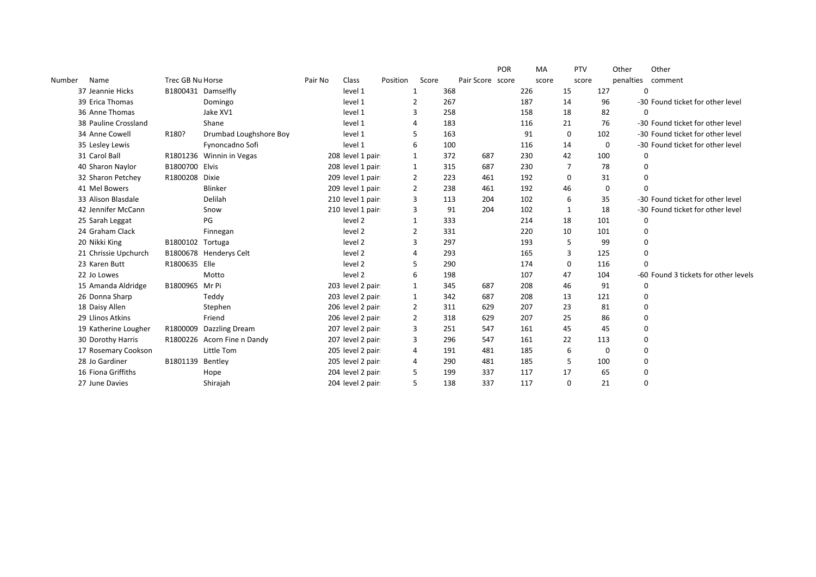|        |                      |                    |                        |         |                    |          |              |     |                  | <b>POR</b> | MA    | PTV         |          | Other     | Other                                |
|--------|----------------------|--------------------|------------------------|---------|--------------------|----------|--------------|-----|------------------|------------|-------|-------------|----------|-----------|--------------------------------------|
| Number | Name                 | Trec GB Nu Horse   |                        | Pair No | Class              | Position | Score        |     | Pair Score score |            | score |             | score    | penalties | comment                              |
|        | 37 Jeannie Hicks     | B1800431 Damselfly |                        |         | level 1            |          | 1            | 368 |                  |            | 226   | 15          | 127      | 0         |                                      |
|        | 39 Erica Thomas      |                    | Domingo                |         | level 1            |          | 2            | 267 |                  |            | 187   | 14          | 96       |           | -30 Found ticket for other level     |
|        | 36 Anne Thomas       |                    | Jake XV1               |         | level 1            |          | 3            | 258 |                  |            | 158   | 18          | 82       | $\Omega$  |                                      |
|        | 38 Pauline Crossland |                    | Shane                  |         | level 1            |          | Δ            | 183 |                  |            | 116   | 21          | 76       |           | -30 Found ticket for other level     |
|        | 34 Anne Cowell       | R180?              | Drumbad Loughshore Boy |         | level 1            |          | 5            | 163 |                  |            | 91    | $\mathbf 0$ | 102      |           | -30 Found ticket for other level     |
|        | 35 Lesley Lewis      |                    | Fynoncadno Sofi        |         | level 1            |          | 6            | 100 |                  |            | 116   | 14          | $\Omega$ |           | -30 Found ticket for other level     |
|        | 31 Carol Ball        | R1801236           | Winnin in Vegas        |         | 208 level 1 pair   |          | 1            | 372 | 687              |            | 230   | 42          | 100      | 0         |                                      |
|        | 40 Sharon Naylor     | B1800700           | Elvis                  |         | 208 level 1 pair.  |          | 1            | 315 | 687              |            | 230   | 7           | 78       | $\Omega$  |                                      |
|        | 32 Sharon Petchey    | R1800208           | <b>Dixie</b>           |         | 209 level 1 pair.  |          | 2            | 223 | 461              |            | 192   | 0           | 31       | 0         |                                      |
|        | 41 Mel Bowers        |                    | Blinker                |         | 209 level 1 pair.  |          | 2            | 238 | 461              |            | 192   | 46          | $\Omega$ | $\Omega$  |                                      |
|        | 33 Alison Blasdale   |                    | Delilah                |         | 210 level 1 pair.  |          | 3            | 113 | 204              |            | 102   | 6           | 35       |           | -30 Found ticket for other level     |
|        | 42 Jennifer McCann   |                    | Snow                   |         | 210 level 1 pair.  |          | 3            | 91  | 204              |            | 102   | 1           | 18       |           | -30 Found ticket for other level     |
|        | 25 Sarah Leggat      |                    | PG                     |         | level 2            |          | 1            | 333 |                  |            | 214   | 18          | 101      | 0         |                                      |
|        | 24 Graham Clack      |                    | Finnegan               |         | level 2            |          | 2            | 331 |                  |            | 220   | 10          | 101      | 0         |                                      |
|        | 20 Nikki King        | B1800102           | Tortuga                |         | level 2            |          | 3            | 297 |                  |            | 193   | 5           | 99       | 0         |                                      |
|        | 21 Chrissie Upchurch |                    | B1800678 Henderys Celt |         | level 2            |          | 4            | 293 |                  |            | 165   | 3           | 125      | $\Omega$  |                                      |
|        | 23 Karen Butt        | R1800635 Elle      |                        |         | level <sub>2</sub> |          | 5            | 290 |                  |            | 174   | 0           | 116      | 0         |                                      |
|        | 22 Jo Lowes          |                    | Motto                  |         | level <sub>2</sub> |          | 6            | 198 |                  |            | 107   | 47          | 104      |           | -60 Found 3 tickets for other levels |
|        | 15 Amanda Aldridge   | B1800965 Mr Pi     |                        |         | 203 level 2 pair.  |          | 1            | 345 | 687              |            | 208   | 46          | 91       | 0         |                                      |
|        | 26 Donna Sharp       |                    | Teddy                  |         | 203 level 2 pair.  |          | $\mathbf{1}$ | 342 | 687              |            | 208   | 13          | 121      | 0         |                                      |
|        | 18 Daisy Allen       |                    | Stephen                |         | 206 level 2 pair.  |          | 2            | 311 | 629              |            | 207   | 23          | 81       | 0         |                                      |
|        | 29 Llinos Atkins     |                    | Friend                 |         | 206 level 2 pair.  |          | 2            | 318 | 629              |            | 207   | 25          | 86       | 0         |                                      |
|        | 19 Katherine Lougher | R1800009           | Dazzling Dream         |         | 207 level 2 pair.  |          | 3            | 251 | 547              |            | 161   | 45          | 45       | 0         |                                      |
|        | 30 Dorothy Harris    | R1800226           | Acorn Fine n Dandy     |         | 207 level 2 pair.  |          | 3            | 296 | 547              |            | 161   | 22          | 113      | $\Omega$  |                                      |
|        | 17 Rosemary Cookson  |                    | Little Tom             |         | 205 level 2 pair   |          | 4            | 191 | 481              |            | 185   | 6           | $\Omega$ | 0         |                                      |
|        | 28 Jo Gardiner       | B1801139           | Bentley                |         | 205 level 2 pair.  |          | 4            | 290 | 481              |            | 185   | 5           | 100      | 0         |                                      |
|        | 16 Fiona Griffiths   |                    | Hope                   |         | 204 level 2 pair.  |          | 5            | 199 | 337              |            | 117   | 17          | 65       | 0         |                                      |
|        | 27 June Davies       |                    | Shirajah               |         | 204 level 2 pair   |          | 5            | 138 | 337              |            | 117   | $\Omega$    | 21       | 0         |                                      |
|        |                      |                    |                        |         |                    |          |              |     |                  |            |       |             |          |           |                                      |